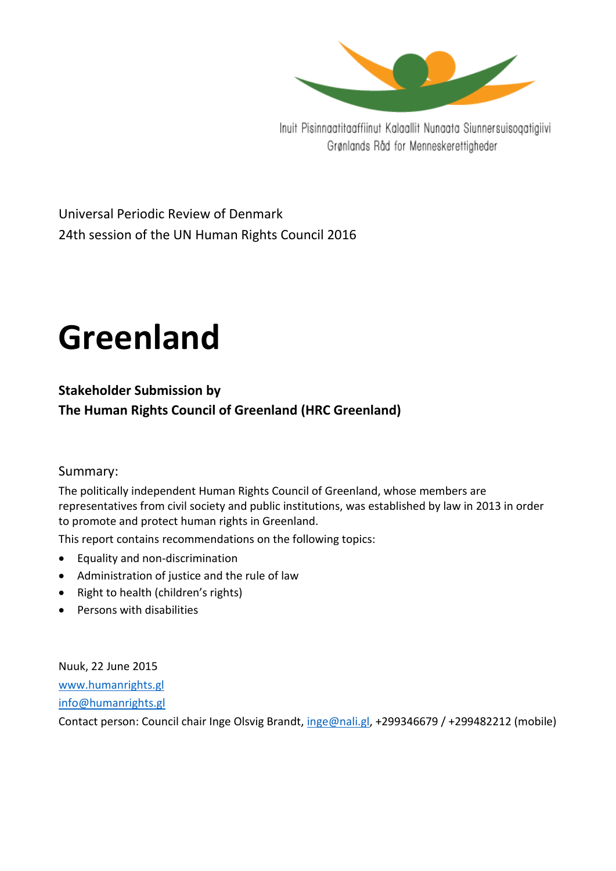

Inuit Pisinnaatitaaffiinut Kalaallit Nunaata Siunnersuisoqatigiivi Grønlands Råd for Menneskerettigheder

Universal Periodic Review of Denmark 24th session of the UN Human Rights Council 2016

# **Greenland**

**Stakeholder Submission by The Human Rights Council of Greenland (HRC Greenland)**

# Summary:

The politically independent Human Rights Council of Greenland, whose members are representatives from civil society and public institutions, was established by law in 2013 in order to promote and protect human rights in Greenland.

This report contains recommendations on the following topics:

- Equality and non-discrimination
- Administration of justice and the rule of law
- Right to health (children's rights)
- Persons with disabilities

Nuuk, 22 June 2015 [www.humanrights.gl](http://www.humanrights.gl/) [info@humanrights.gl](mailto:info@humanrights.gl)

Contact person: Council chair Inge Olsvig Brandt, [inge@nali.gl,](mailto:inge@nali.gl) +299346679 / +299482212 (mobile)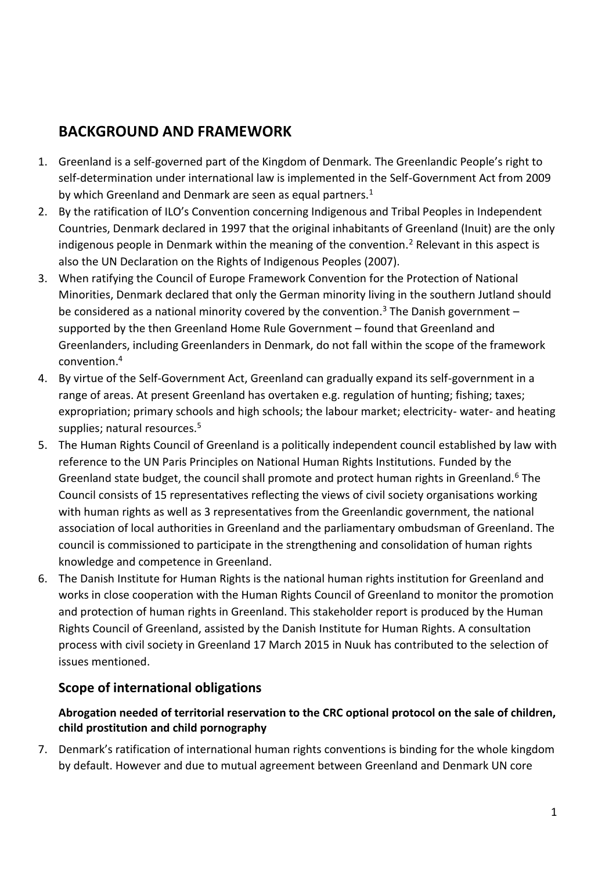# **BACKGROUND AND FRAMEWORK**

- 1. Greenland is a self-governed part of the Kingdom of Denmark. The Greenlandic People's right to self-determination under international law is implemented in the Self-Government Act from 2009 by which Greenland and Denmark are seen as equal partners.<sup>1</sup>
- 2. By the ratification of ILO's Convention concerning Indigenous and Tribal Peoples in Independent Countries, Denmark declared in 1997 that the original inhabitants of Greenland (Inuit) are the only indigenous people in Denmark within the meaning of the convention.<sup>2</sup> Relevant in this aspect is also the UN Declaration on the Rights of Indigenous Peoples (2007).
- 3. When ratifying the Council of Europe Framework Convention for the Protection of National Minorities, Denmark declared that only the German minority living in the southern Jutland should be considered as a national minority covered by the convention.<sup>3</sup> The Danish government – supported by the then Greenland Home Rule Government – found that Greenland and Greenlanders, including Greenlanders in Denmark, do not fall within the scope of the framework convention.<sup>4</sup>
- 4. By virtue of the Self-Government Act, Greenland can gradually expand its self-government in a range of areas. At present Greenland has overtaken e.g. regulation of hunting; fishing; taxes; expropriation; primary schools and high schools; the labour market; electricity- water- and heating supplies; natural resources.<sup>5</sup>
- 5. The Human Rights Council of Greenland is a politically independent council established by law with reference to the UN Paris Principles on National Human Rights Institutions. Funded by the Greenland state budget, the council shall promote and protect human rights in Greenland.<sup>6</sup> The Council consists of 15 representatives reflecting the views of civil society organisations working with human rights as well as 3 representatives from the Greenlandic government, the national association of local authorities in Greenland and the parliamentary ombudsman of Greenland. The council is commissioned to participate in the strengthening and consolidation of human rights knowledge and competence in Greenland.
- 6. The Danish Institute for Human Rights is the national human rights institution for Greenland and works in close cooperation with the Human Rights Council of Greenland to monitor the promotion and protection of human rights in Greenland. This stakeholder report is produced by the Human Rights Council of Greenland, assisted by the Danish Institute for Human Rights. A consultation process with civil society in Greenland 17 March 2015 in Nuuk has contributed to the selection of issues mentioned.

# **Scope of international obligations**

# **Abrogation needed of territorial reservation to the CRC optional protocol on the sale of children, child prostitution and child pornography**

7. Denmark's ratification of international human rights conventions is binding for the whole kingdom by default. However and due to mutual agreement between Greenland and Denmark UN core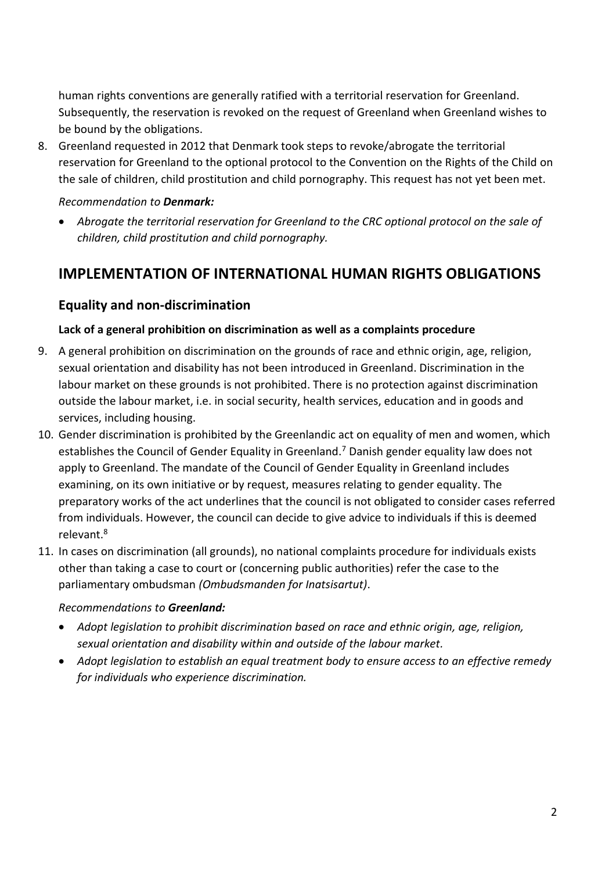human rights conventions are generally ratified with a territorial reservation for Greenland. Subsequently, the reservation is revoked on the request of Greenland when Greenland wishes to be bound by the obligations.

8. Greenland requested in 2012 that Denmark took steps to revoke/abrogate the territorial reservation for Greenland to the optional protocol to the Convention on the Rights of the Child on the sale of children, child prostitution and child pornography. This request has not yet been met.

#### *Recommendation to Denmark:*

 *Abrogate the territorial reservation for Greenland to the CRC optional protocol on the sale of children, child prostitution and child pornography.*

# **IMPLEMENTATION OF INTERNATIONAL HUMAN RIGHTS OBLIGATIONS**

# **Equality and non-discrimination**

#### **Lack of a general prohibition on discrimination as well as a complaints procedure**

- 9. A general prohibition on discrimination on the grounds of race and ethnic origin, age, religion, sexual orientation and disability has not been introduced in Greenland. Discrimination in the labour market on these grounds is not prohibited. There is no protection against discrimination outside the labour market, i.e. in social security, health services, education and in goods and services, including housing.
- 10. Gender discrimination is prohibited by the Greenlandic act on equality of men and women, which establishes the Council of Gender Equality in Greenland.<sup>7</sup> Danish gender equality law does not apply to Greenland. The mandate of the Council of Gender Equality in Greenland includes examining, on its own initiative or by request, measures relating to gender equality. The preparatory works of the act underlines that the council is not obligated to consider cases referred from individuals. However, the council can decide to give advice to individuals if this is deemed relevant.<sup>8</sup>
- 11. In cases on discrimination (all grounds), no national complaints procedure for individuals exists other than taking a case to court or (concerning public authorities) refer the case to the parliamentary ombudsman *(Ombudsmanden for Inatsisartut)*.

#### *Recommendations to Greenland:*

- *Adopt legislation to prohibit discrimination based on race and ethnic origin, age, religion, sexual orientation and disability within and outside of the labour market.*
- *Adopt legislation to establish an equal treatment body to ensure access to an effective remedy for individuals who experience discrimination.*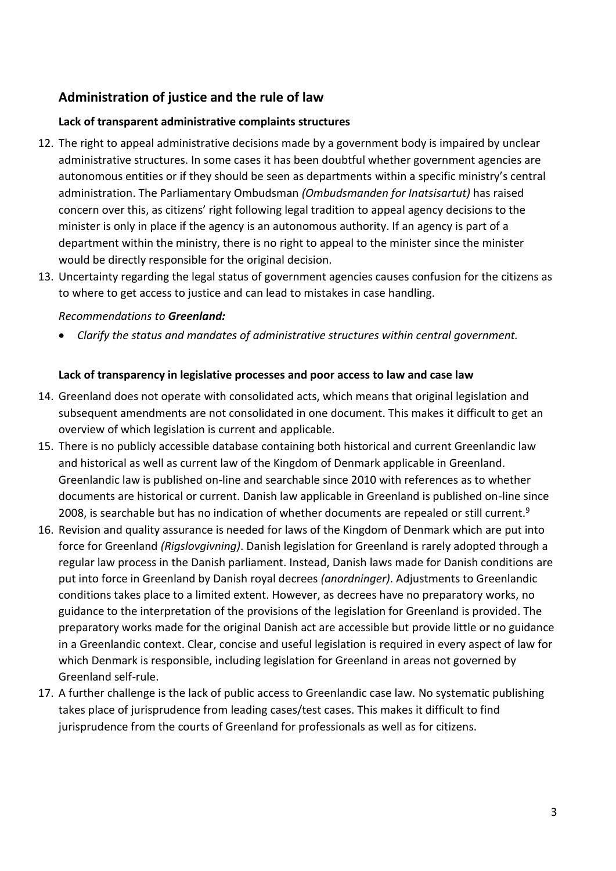# **Administration of justice and the rule of law**

#### **Lack of transparent administrative complaints structures**

- 12. The right to appeal administrative decisions made by a government body is impaired by unclear administrative structures. In some cases it has been doubtful whether government agencies are autonomous entities or if they should be seen as departments within a specific ministry's central administration. The Parliamentary Ombudsman *(Ombudsmanden for Inatsisartut)* has raised concern over this, as citizens' right following legal tradition to appeal agency decisions to the minister is only in place if the agency is an autonomous authority. If an agency is part of a department within the ministry, there is no right to appeal to the minister since the minister would be directly responsible for the original decision.
- 13. Uncertainty regarding the legal status of government agencies causes confusion for the citizens as to where to get access to justice and can lead to mistakes in case handling.

#### *Recommendations to Greenland:*

*Clarify the status and mandates of administrative structures within central government.*

#### **Lack of transparency in legislative processes and poor access to law and case law**

- 14. Greenland does not operate with consolidated acts, which means that original legislation and subsequent amendments are not consolidated in one document. This makes it difficult to get an overview of which legislation is current and applicable.
- 15. There is no publicly accessible database containing both historical and current Greenlandic law and historical as well as current law of the Kingdom of Denmark applicable in Greenland. Greenlandic law is published on-line and searchable since 2010 with references as to whether documents are historical or current. Danish law applicable in Greenland is published on-line since 2008, is searchable but has no indication of whether documents are repealed or still current.<sup>9</sup>
- 16. Revision and quality assurance is needed for laws of the Kingdom of Denmark which are put into force for Greenland *(Rigslovgivning)*. Danish legislation for Greenland is rarely adopted through a regular law process in the Danish parliament. Instead, Danish laws made for Danish conditions are put into force in Greenland by Danish royal decrees *(anordninger)*. Adjustments to Greenlandic conditions takes place to a limited extent. However, as decrees have no preparatory works, no guidance to the interpretation of the provisions of the legislation for Greenland is provided. The preparatory works made for the original Danish act are accessible but provide little or no guidance in a Greenlandic context. Clear, concise and useful legislation is required in every aspect of law for which Denmark is responsible, including legislation for Greenland in areas not governed by Greenland self-rule.
- 17. A further challenge is the lack of public access to Greenlandic case law. No systematic publishing takes place of jurisprudence from leading cases/test cases. This makes it difficult to find jurisprudence from the courts of Greenland for professionals as well as for citizens.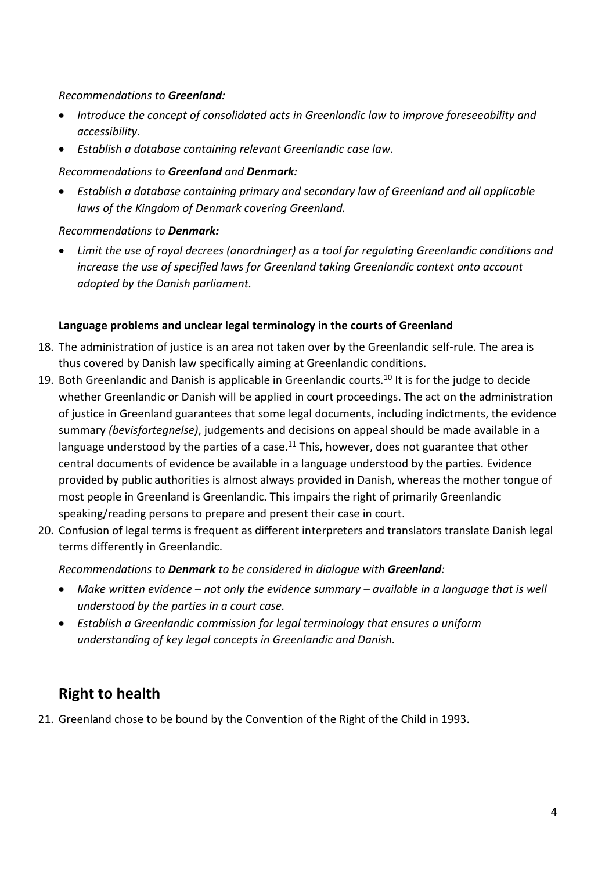#### *Recommendations to Greenland:*

- *Introduce the concept of consolidated acts in Greenlandic law to improve foreseeability and accessibility.*
- *Establish a database containing relevant Greenlandic case law.*

#### *Recommendations to Greenland and Denmark:*

 *Establish a database containing primary and secondary law of Greenland and all applicable laws of the Kingdom of Denmark covering Greenland.* 

# *Recommendations to Denmark:*

 *Limit the use of royal decrees (anordninger) as a tool for regulating Greenlandic conditions and increase the use of specified laws for Greenland taking Greenlandic context onto account adopted by the Danish parliament.*

#### **Language problems and unclear legal terminology in the courts of Greenland**

- 18. The administration of justice is an area not taken over by the Greenlandic self-rule. The area is thus covered by Danish law specifically aiming at Greenlandic conditions.
- 19. Both Greenlandic and Danish is applicable in Greenlandic courts.<sup>10</sup> It is for the judge to decide whether Greenlandic or Danish will be applied in court proceedings. The act on the administration of justice in Greenland guarantees that some legal documents, including indictments, the evidence summary *(bevisfortegnelse)*, judgements and decisions on appeal should be made available in a language understood by the parties of a case.<sup>11</sup> This, however, does not guarantee that other central documents of evidence be available in a language understood by the parties. Evidence provided by public authorities is almost always provided in Danish, whereas the mother tongue of most people in Greenland is Greenlandic. This impairs the right of primarily Greenlandic speaking/reading persons to prepare and present their case in court.
- 20. Confusion of legal terms is frequent as different interpreters and translators translate Danish legal terms differently in Greenlandic.

# *Recommendations to Denmark to be considered in dialogue with Greenland:*

- *Make written evidence – not only the evidence summary – available in a language that is well understood by the parties in a court case.*
- *Establish a Greenlandic commission for legal terminology that ensures a uniform understanding of key legal concepts in Greenlandic and Danish.*

# **Right to health**

21. Greenland chose to be bound by the Convention of the Right of the Child in 1993.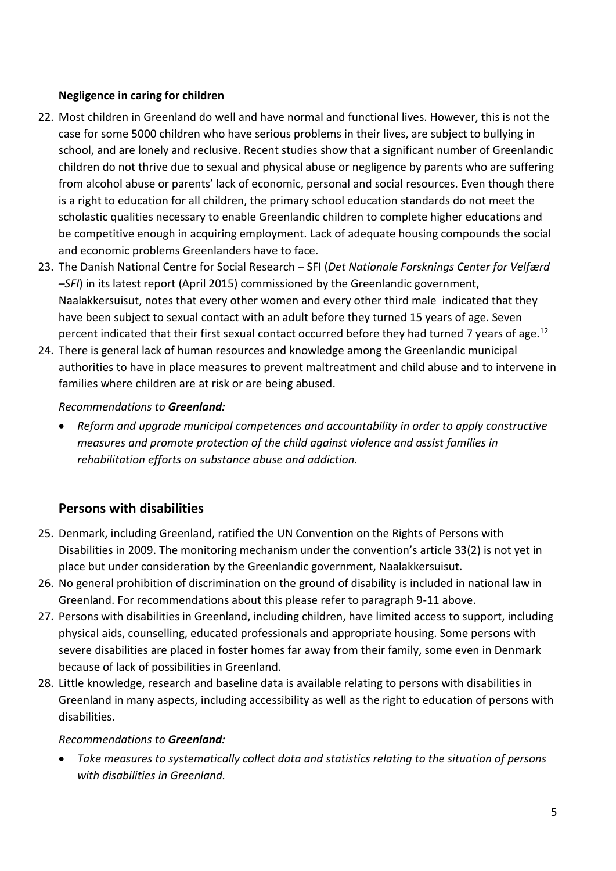#### **Negligence in caring for children**

- 22. Most children in Greenland do well and have normal and functional lives. However, this is not the case for some 5000 children who have serious problems in their lives, are subject to bullying in school, and are lonely and reclusive. Recent studies show that a significant number of Greenlandic children do not thrive due to sexual and physical abuse or negligence by parents who are suffering from alcohol abuse or parents' lack of economic, personal and social resources. Even though there is a right to education for all children, the primary school education standards do not meet the scholastic qualities necessary to enable Greenlandic children to complete higher educations and be competitive enough in acquiring employment. Lack of adequate housing compounds the social and economic problems Greenlanders have to face.
- 23. The Danish National Centre for Social Research SFI (*Det Nationale Forsknings Center for Velfærd –SFI*) in its latest report (April 2015) commissioned by the Greenlandic government, Naalakkersuisut, notes that every other women and every other third male indicated that they have been subject to sexual contact with an adult before they turned 15 years of age. Seven percent indicated that their first sexual contact occurred before they had turned 7 years of age.<sup>12</sup>
- 24. There is general lack of human resources and knowledge among the Greenlandic municipal authorities to have in place measures to prevent maltreatment and child abuse and to intervene in families where children are at risk or are being abused.

# *Recommendations to Greenland:*

 *Reform and upgrade municipal competences and accountability in order to apply constructive measures and promote protection of the child against violence and assist families in rehabilitation efforts on substance abuse and addiction.* 

# **Persons with disabilities**

- 25. Denmark, including Greenland, ratified the UN Convention on the Rights of Persons with Disabilities in 2009. The monitoring mechanism under the convention's article 33(2) is not yet in place but under consideration by the Greenlandic government, Naalakkersuisut.
- 26. No general prohibition of discrimination on the ground of disability is included in national law in Greenland. For recommendations about this please refer to paragraph 9-11 above.
- 27. Persons with disabilities in Greenland, including children, have limited access to support, including physical aids, counselling, educated professionals and appropriate housing. Some persons with severe disabilities are placed in foster homes far away from their family, some even in Denmark because of lack of possibilities in Greenland.
- 28. Little knowledge, research and baseline data is available relating to persons with disabilities in Greenland in many aspects, including accessibility as well as the right to education of persons with disabilities.

#### *Recommendations to Greenland:*

 *Take measures to systematically collect data and statistics relating to the situation of persons with disabilities in Greenland.*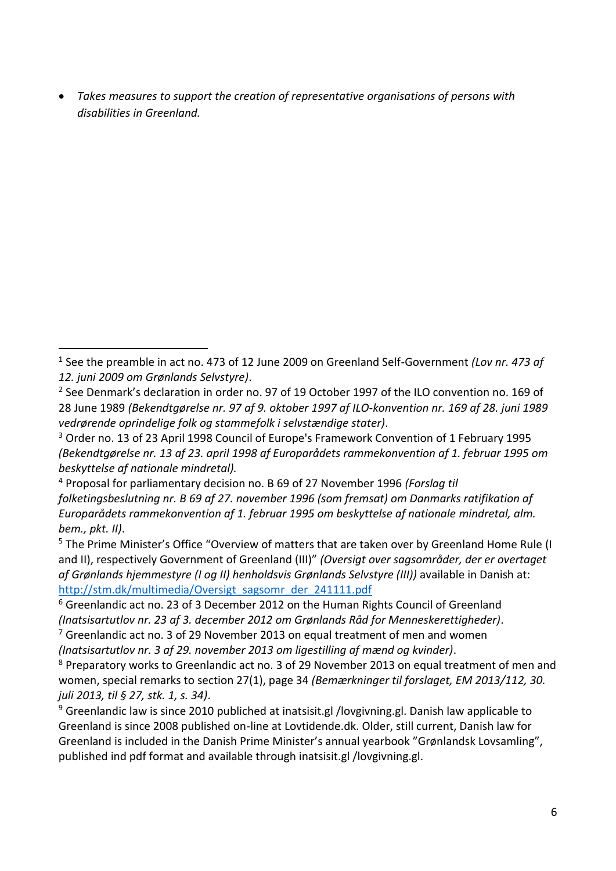*Takes measures to support the creation of representative organisations of persons with disabilities in Greenland.*

<sup>1</sup> See the preamble in act no. 473 of 12 June 2009 on Greenland Self-Government *(Lov nr. 473 af 12. juni 2009 om Grønlands Selvstyre)*. -

<sup>&</sup>lt;sup>2</sup> See Denmark's declaration in order no. 97 of 19 October 1997 of the ILO convention no. 169 of 28 June 1989 *(Bekendtgørelse nr. 97 af 9. oktober 1997 af ILO-konvention nr. 169 af 28. juni 1989 vedrørende oprindelige folk og stammefolk i selvstændige stater)*.

<sup>3</sup> Order no. 13 of 23 April 1998 Council of Europe's Framework Convention of 1 February 1995 *(Bekendtgørelse nr. 13 af 23. april 1998 af Europarådets rammekonvention af 1. februar 1995 om beskyttelse af nationale mindretal).*

<sup>4</sup> Proposal for parliamentary decision no. B 69 of 27 November 1996 *(Forslag til folketingsbeslutning nr. B 69 af 27. november 1996 (som fremsat) om Danmarks ratifikation af Europarådets rammekonvention af 1. februar 1995 om beskyttelse af nationale mindretal, alm. bem., pkt. II)*.

<sup>&</sup>lt;sup>5</sup> The Prime Minister's Office "Overview of matters that are taken over by Greenland Home Rule (I and II), respectively Government of Greenland (III)" *(Oversigt over sagsområder, der er overtaget af Grønlands hjemmestyre (I og II) henholdsvis Grønlands Selvstyre (III))* available in Danish at: [http://stm.dk/multimedia/Oversigt\\_sagsomr\\_der\\_241111.pdf](http://stm.dk/multimedia/Oversigt_sagsomr_der_241111.pdf) 

<sup>6</sup> Greenlandic act no. 23 of 3 December 2012 on the Human Rights Council of Greenland *(Inatsisartutlov nr. 23 af 3. december 2012 om Grønlands Råd for Menneskerettigheder)*.  $7$  Greenlandic act no. 3 of 29 November 2013 on equal treatment of men and women

*<sup>(</sup>Inatsisartutlov nr. 3 af 29. november 2013 om ligestilling af mænd og kvinder)*.

<sup>&</sup>lt;sup>8</sup> Preparatory works to Greenlandic act no. 3 of 29 November 2013 on equal treatment of men and women, special remarks to section 27(1), page 34 *(Bemærkninger til forslaget, EM 2013/112, 30. juli 2013, til § 27, stk. 1, s. 34)*.

<sup>&</sup>lt;sup>9</sup> Greenlandic law is since 2010 publiched at inatsisit.gl /lovgivning.gl. Danish law applicable to Greenland is since 2008 published on-line at Lovtidende.dk. Older, still current, Danish law for Greenland is included in the Danish Prime Minister's annual yearbook "Grønlandsk Lovsamling", published ind pdf format and available through inatsisit.gl /lovgivning.gl.